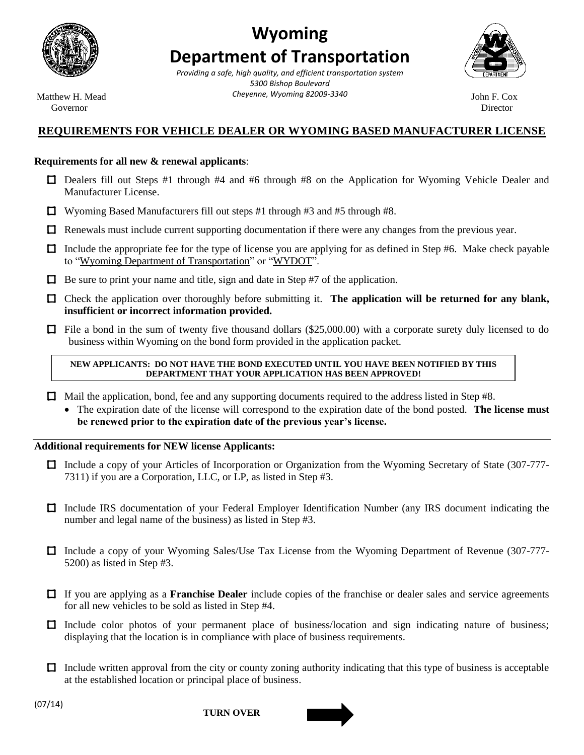

# **Wyoming Department of Transportation**

 **State of Wyoming** *Providing a safe, high quality, and efficient transportation system* Matthew H. Mead *Cheyenne, Wyoming 82009-3340* John F. Cox *5300 Bishop Boulevard*



Governor **Director** Director

## **REQUIREMENTS FOR VEHICLE DEALER OR WYOMING BASED MANUFACTURER LICENSE**

## **Requirements for all new & renewal applicants**:

- □ Dealers fill out Steps #1 through #4 and #6 through #8 on the Application for Wyoming Vehicle Dealer and Manufacturer License.
- $\Box$  Wyoming Based Manufacturers fill out steps #1 through #3 and #5 through #8.
- $\Box$  Renewals must include current supporting documentation if there were any changes from the previous year.
- □ Include the appropriate fee for the type of license you are applying for as defined in Step #6. Make check payable to "Wyoming Department of Transportation" or "WYDOT".
- $\Box$  Be sure to print your name and title, sign and date in Step #7 of the application.
- □ Check the application over thoroughly before submitting it. **The application will be returned for any blank, insufficient or incorrect information provided.**
- $\Box$  File a bond in the sum of twenty five thousand dollars (\$25,000.00) with a corporate surety duly licensed to do business within Wyoming on the bond form provided in the application packet.

#### **NEW APPLICANTS: DO NOT HAVE THE BOND EXECUTED UNTIL YOU HAVE BEEN NOTIFIED BY THIS DEPARTMENT THAT YOUR APPLICATION HAS BEEN APPROVED!**

- □ Mail the application, bond, fee and any supporting documents required to the address listed in Step #8.
	- The expiration date of the license will correspond to the expiration date of the bond posted. **The license must be renewed prior to the expiration date of the previous year's license.**

## **Additional requirements for NEW license Applicants:**

- □ Include a copy of your Articles of Incorporation or Organization from the Wyoming Secretary of State (307-777-7311) if you are a Corporation, LLC, or LP, as listed in Step #3.
- □ Include IRS documentation of your Federal Employer Identification Number (any IRS document indicating the number and legal name of the business) as listed in Step #3.
- □ Include a copy of your Wyoming Sales/Use Tax License from the Wyoming Department of Revenue (307-777-5200) as listed in Step #3.
- □ If you are applying as a **Franchise Dealer** include copies of the franchise or dealer sales and service agreements for all new vehicles to be sold as listed in Step #4.
- □ Include color photos of your permanent place of business/location and sign indicating nature of business; displaying that the location is in compliance with place of business requirements.
- $\Box$  Include written approval from the city or county zoning authority indicating that this type of business is acceptable at the established location or principal place of business.